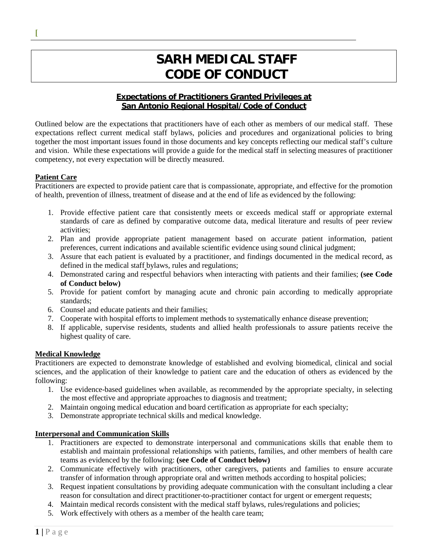# **SARH MEDICAL STAFF CODE OF CONDUCT**

# **Expectations of Practitioners Granted Privileges at San Antonio Regional Hospital/Code of Conduct**

Outlined below are the expectations that practitioners have of each other as members of our medical staff. These expectations reflect current medical staff bylaws, policies and procedures and organizational policies to bring together the most important issues found in those documents and key concepts reflecting our medical staff's culture and vision. While these expectations will provide a guide for the medical staff in selecting measures of practitioner competency, not every expectation will be directly measured.

## **Patient Care**

**[**

Practitioners are expected to provide patient care that is compassionate, appropriate, and effective for the promotion of health, prevention of illness, treatment of disease and at the end of life as evidenced by the following:

- 1. Provide effective patient care that consistently meets or exceeds medical staff or appropriate external standards of care as defined by comparative outcome data, medical literature and results of peer review activities;
- 2. Plan and provide appropriate patient management based on accurate patient information, patient preferences, current indications and available scientific evidence using sound clinical judgment;
- 3. Assure that each patient is evaluated by a practitioner, and findings documented in the medical record, as defined in the medical staff bylaws, rules and regulations;
- 4. Demonstrated caring and respectful behaviors when interacting with patients and their families; **(see Code of Conduct below)**
- 5. Provide for patient comfort by managing acute and chronic pain according to medically appropriate standards;
- 6. Counsel and educate patients and their families;
- 7. Cooperate with hospital efforts to implement methods to systematically enhance disease prevention;
- 8. If applicable, supervise residents, students and allied health professionals to assure patients receive the highest quality of care.

## **Medical Knowledge**

Practitioners are expected to demonstrate knowledge of established and evolving biomedical, clinical and social sciences, and the application of their knowledge to patient care and the education of others as evidenced by the following:

- 1. Use evidence-based guidelines when available, as recommended by the appropriate specialty, in selecting the most effective and appropriate approaches to diagnosis and treatment;
- 2. Maintain ongoing medical education and board certification as appropriate for each specialty;
- 3. Demonstrate appropriate technical skills and medical knowledge.

## **Interpersonal and Communication Skills**

- 1. Practitioners are expected to demonstrate interpersonal and communications skills that enable them to establish and maintain professional relationships with patients, families, and other members of health care teams as evidenced by the following: **(see Code of Conduct below)**
- 2. Communicate effectively with practitioners, other caregivers, patients and families to ensure accurate transfer of information through appropriate oral and written methods according to hospital policies;
- 3. Request inpatient consultations by providing adequate communication with the consultant including a clear reason for consultation and direct practitioner-to-practitioner contact for urgent or emergent requests;
- 4. Maintain medical records consistent with the medical staff bylaws, rules/regulations and policies;
- 5. Work effectively with others as a member of the health care team;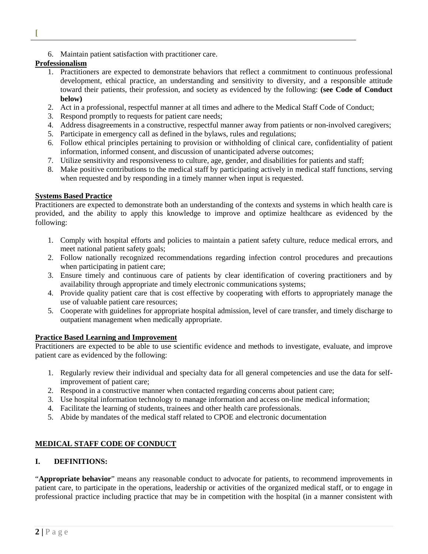- **[**
- 6. Maintain patient satisfaction with practitioner care.

## **Professionalism**

- 1. Practitioners are expected to demonstrate behaviors that reflect a commitment to continuous professional development, ethical practice, an understanding and sensitivity to diversity, and a responsible attitude toward their patients, their profession, and society as evidenced by the following: **(see Code of Conduct below)**
- 2. Act in a professional, respectful manner at all times and adhere to the Medical Staff Code of Conduct;
- 3. Respond promptly to requests for patient care needs;
- 4. Address disagreements in a constructive, respectful manner away from patients or non-involved caregivers;
- 5. Participate in emergency call as defined in the bylaws, rules and regulations;
- 6. Follow ethical principles pertaining to provision or withholding of clinical care, confidentiality of patient information, informed consent, and discussion of unanticipated adverse outcomes;
- 7. Utilize sensitivity and responsiveness to culture, age, gender, and disabilities for patients and staff;
- 8. Make positive contributions to the medical staff by participating actively in medical staff functions, serving when requested and by responding in a timely manner when input is requested.

## **Systems Based Practice**

Practitioners are expected to demonstrate both an understanding of the contexts and systems in which health care is provided, and the ability to apply this knowledge to improve and optimize healthcare as evidenced by the following:

- 1. Comply with hospital efforts and policies to maintain a patient safety culture, reduce medical errors, and meet national patient safety goals;
- 2. Follow nationally recognized recommendations regarding infection control procedures and precautions when participating in patient care;
- 3. Ensure timely and continuous care of patients by clear identification of covering practitioners and by availability through appropriate and timely electronic communications systems;
- 4. Provide quality patient care that is cost effective by cooperating with efforts to appropriately manage the use of valuable patient care resources;
- 5. Cooperate with guidelines for appropriate hospital admission, level of care transfer, and timely discharge to outpatient management when medically appropriate.

## **Practice Based Learning and Improvement**

Practitioners are expected to be able to use scientific evidence and methods to investigate, evaluate, and improve patient care as evidenced by the following:

- 1. Regularly review their individual and specialty data for all general competencies and use the data for selfimprovement of patient care;
- 2. Respond in a constructive manner when contacted regarding concerns about patient care;
- 3. Use hospital information technology to manage information and access on-line medical information;
- 4. Facilitate the learning of students, trainees and other health care professionals.
- 5. Abide by mandates of the medical staff related to CPOE and electronic documentation

# **MEDICAL STAFF CODE OF CONDUCT**

# **I. DEFINITIONS:**

"**Appropriate behavior**" means any reasonable conduct to advocate for patients, to recommend improvements in patient care, to participate in the operations, leadership or activities of the organized medical staff, or to engage in professional practice including practice that may be in competition with the hospital (in a manner consistent with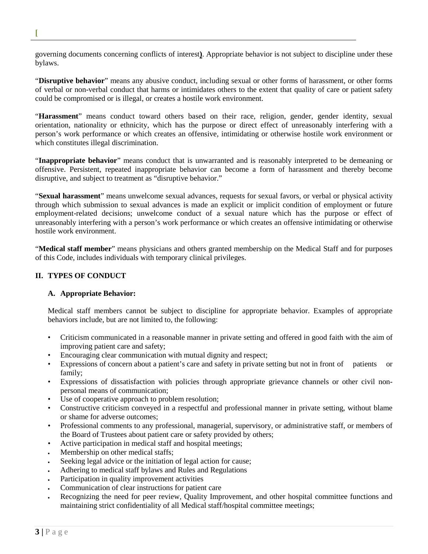governing documents concerning conflicts of interest**)**. Appropriate behavior is not subject to discipline under these bylaws.

"**Disruptive behavior**" means any abusive conduct, including sexual or other forms of harassment, or other forms of verbal or non-verbal conduct that harms or intimidates others to the extent that quality of care or patient safety could be compromised or is illegal, or creates a hostile work environment.

"**Harassment**" means conduct toward others based on their race, religion, gender, gender identity, sexual orientation, nationality or ethnicity, which has the purpose or direct effect of unreasonably interfering with a person's work performance or which creates an offensive, intimidating or otherwise hostile work environment or which constitutes illegal discrimination.

"**Inappropriate behavior**" means conduct that is unwarranted and is reasonably interpreted to be demeaning or offensive. Persistent, repeated inappropriate behavior can become a form of harassment and thereby become disruptive, and subject to treatment as "disruptive behavior."

"**Sexual harassment**" means unwelcome sexual advances, requests for sexual favors, or verbal or physical activity through which submission to sexual advances is made an explicit or implicit condition of employment or future employment-related decisions; unwelcome conduct of a sexual nature which has the purpose or effect of unreasonably interfering with a person's work performance or which creates an offensive intimidating or otherwise hostile work environment.

"**Medical staff member**" means physicians and others granted membership on the Medical Staff and for purposes of this Code, includes individuals with temporary clinical privileges.

# **II. TYPES OF CONDUCT**

**[**

## **A. Appropriate Behavior:**

Medical staff members cannot be subject to discipline for appropriate behavior. Examples of appropriate behaviors include, but are not limited to, the following:

- Criticism communicated in a reasonable manner in private setting and offered in good faith with the aim of improving patient care and safety;
- Encouraging clear communication with mutual dignity and respect;
- Expressions of concern about a patient's care and safety in private setting but not in front of patients or family;
- Expressions of dissatisfaction with policies through appropriate grievance channels or other civil nonpersonal means of communication;
- Use of cooperative approach to problem resolution;
- Constructive criticism conveyed in a respectful and professional manner in private setting, without blame or shame for adverse outcomes;
- Professional comments to any professional, managerial, supervisory, or administrative staff, or members of the Board of Trustees about patient care or safety provided by others;
- Active participation in medical staff and hospital meetings;
- Membership on other medical staffs;
- Seeking legal advice or the initiation of legal action for cause;
- Adhering to medical staff bylaws and Rules and Regulations
- Participation in quality improvement activities
- Communication of clear instructions for patient care
- Recognizing the need for peer review, Quality Improvement, and other hospital committee functions and maintaining strict confidentiality of all Medical staff/hospital committee meetings;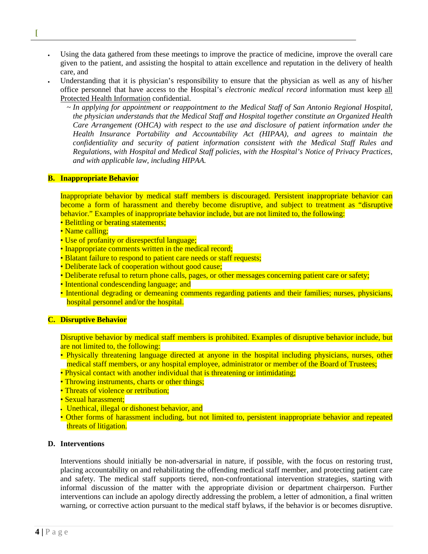- Using the data gathered from these meetings to improve the practice of medicine, improve the overall care given to the patient, and assisting the hospital to attain excellence and reputation in the delivery of health care, and
- Understanding that it is physician's responsibility to ensure that the physician as well as any of his/her office personnel that have access to the Hospital's *electronic medical record* information must keep all Protected Health Information confidential.
	- *~ In applying for appointment or reappointment to the Medical Staff of San Antonio Regional Hospital, the physician understands that the Medical Staff and Hospital together constitute an Organized Health Care Arrangement (OHCA) with respect to the use and disclosure of patient information under the Health Insurance Portability and Accountability Act (HIPAA), and agrees to maintain the confidentiality and security of patient information consistent with the Medical Staff Rules and Regulations, with Hospital and Medical Staff policies, with the Hospital's Notice of Privacy Practices, and with applicable law, including HIPAA.*

#### **B. Inappropriate Behavior**

**[**

Inappropriate behavior by medical staff members is discouraged. Persistent inappropriate behavior can become a form of harassment and thereby become disruptive, and subject to treatment as "disruptive behavior." Examples of inappropriate behavior include, but are not limited to, the following:

- Belittling or berating statements;
- Name calling;
- Use of profanity or disrespectful language;
- Inappropriate comments written in the medical record;
- Blatant failure to respond to patient care needs or staff requests;
- Deliberate lack of cooperation without good cause;
- Deliberate refusal to return phone calls, pages, or other messages concerning patient care or safety;
- Intentional condescending language; and
- Intentional degrading or demeaning comments regarding patients and their families; nurses, physicians, hospital personnel and/or the hospital.

#### **C. Disruptive Behavior**

Disruptive behavior by medical staff members is prohibited. Examples of disruptive behavior include, but are not limited to, the following:

- Physically threatening language directed at anyone in the hospital including physicians, nurses, other medical staff members, or any hospital employee, administrator or member of the Board of Trustees;
- Physical contact with another individual that is threatening or intimidating;
- Throwing instruments, charts or other things;
- Threats of violence or retribution;
- Sexual harassment;
- Unethical, illegal or dishonest behavior, and
- Other forms of harassment including, but not limited to, persistent inappropriate behavior and repeated threats of litigation.

#### **D. Interventions**

Interventions should initially be non-adversarial in nature, if possible, with the focus on restoring trust, placing accountability on and rehabilitating the offending medical staff member, and protecting patient care and safety. The medical staff supports tiered, non-confrontational intervention strategies, starting with informal discussion of the matter with the appropriate division or department chairperson. Further interventions can include an apology directly addressing the problem, a letter of admonition, a final written warning, or corrective action pursuant to the medical staff bylaws, if the behavior is or becomes disruptive.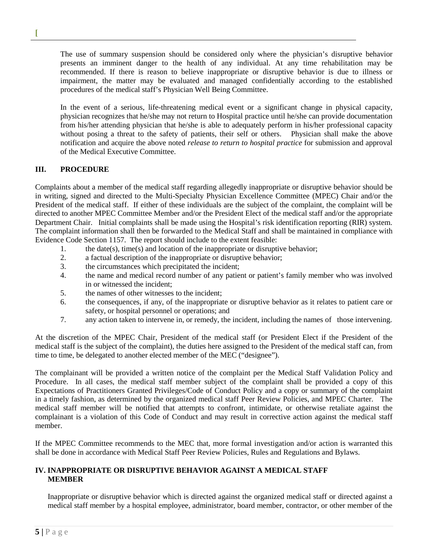The use of summary suspension should be considered only where the physician's disruptive behavior presents an imminent danger to the health of any individual. At any time rehabilitation may be recommended. If there is reason to believe inappropriate or disruptive behavior is due to illness or impairment, the matter may be evaluated and managed confidentially according to the established procedures of the medical staff's Physician Well Being Committee.

In the event of a serious, life-threatening medical event or a significant change in physical capacity, physician recognizes that he/she may not return to Hospital practice until he/she can provide documentation from his/her attending physician that he/she is able to adequately perform in his/her professional capacity without posing a threat to the safety of patients, their self or others. Physician shall make the above notification and acquire the above noted *release to return to hospital practice* for submission and approval of the Medical Executive Committee.

## **III. PROCEDURE**

**[**

Complaints about a member of the medical staff regarding allegedly inappropriate or disruptive behavior should be in writing, signed and directed to the Multi-Specialty Physician Excellence Committee (MPEC) Chair and/or the President of the medical staff. If either of these individuals are the subject of the complaint, the complaint will be directed to another MPEC Committee Member and/or the President Elect of the medical staff and/or the appropriate Department Chair. Initial complaints shall be made using the Hospital's risk identification reporting (RIR) system. The complaint information shall then be forwarded to the Medical Staff and shall be maintained in compliance with Evidence Code Section 1157. The report should include to the extent feasible:

- 1. the date(s), time(s) and location of the inappropriate or disruptive behavior;
- 2. a factual description of the inappropriate or disruptive behavior;
- 3. the circumstances which precipitated the incident;
- 4. the name and medical record number of any patient or patient's family member who was involved in or witnessed the incident;
- 5. the names of other witnesses to the incident;
- 6. the consequences, if any, of the inappropriate or disruptive behavior as it relates to patient care or safety, or hospital personnel or operations; and
- 7. any action taken to intervene in, or remedy, the incident, including the names of those intervening.

At the discretion of the MPEC Chair, President of the medical staff (or President Elect if the President of the medical staff is the subject of the complaint), the duties here assigned to the President of the medical staff can, from time to time, be delegated to another elected member of the MEC ("designee").

The complainant will be provided a written notice of the complaint per the Medical Staff Validation Policy and Procedure. In all cases, the medical staff member subject of the complaint shall be provided a copy of this Expectations of Practitioners Granted Privileges/Code of Conduct Policy and a copy or summary of the complaint in a timely fashion, as determined by the organized medical staff Peer Review Policies, and MPEC Charter. The medical staff member will be notified that attempts to confront, intimidate, or otherwise retaliate against the complainant is a violation of this Code of Conduct and may result in corrective action against the medical staff member.

If the MPEC Committee recommends to the MEC that, more formal investigation and/or action is warranted this shall be done in accordance with Medical Staff Peer Review Policies, Rules and Regulations and Bylaws.

## **IV. INAPPROPRIATE OR DISRUPTIVE BEHAVIOR AGAINST A MEDICAL STAFF MEMBER**

Inappropriate or disruptive behavior which is directed against the organized medical staff or directed against a medical staff member by a hospital employee, administrator, board member, contractor, or other member of the